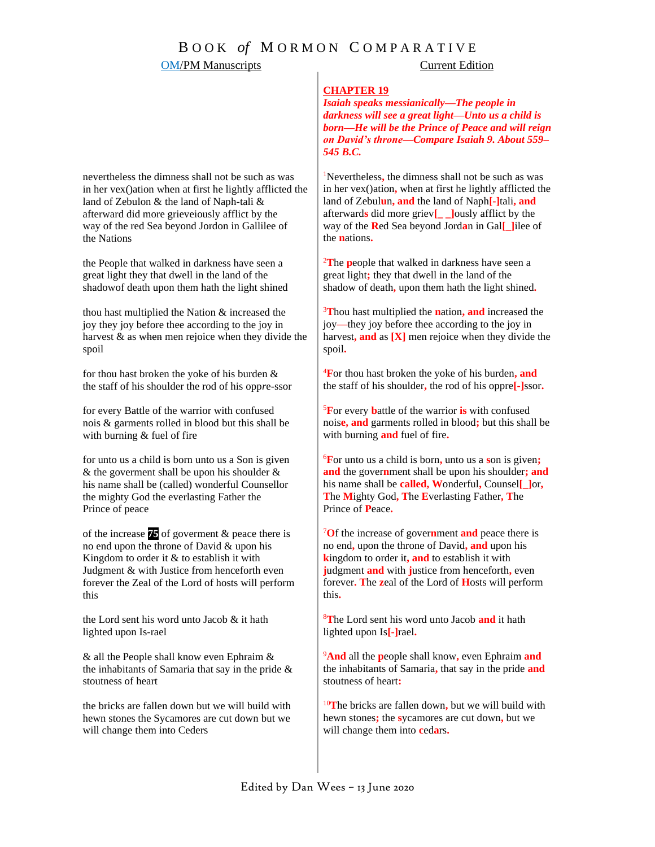# B O O K *of* M O R M O N C O M P A R A T I V E

## OM/PM Manuscripts Current Edition

### **CHAPTER 19**

*Isaiah speaks messianically—The people in darkness will see a great light—Unto us a child is born—He will be the Prince of Peace and will reign on David's throne—Compare Isaiah 9. About 559– 545 B.C.*

<sup>1</sup>Nevertheless**,** the dimness shall not be such as was in her vex()ation**,** when at first he lightly afflicted the land of Zebul**u**n**, and** the land of Naph**[-]**tali**, and** afterward**s** did more griev**[\_ \_]**ously afflict by the way of the **R**ed Sea beyond Jord**a**n in Gal**[\_]**ilee of the **n**ations**.**

<sup>2</sup>The **p**eople that walked in darkness have seen a great light**;** they that dwell in the land of the shadow of death**,** upon them hath the light shined**.**

<sup>3</sup>**T**hou hast multiplied the **n**ation**, and** increased the joy**—**they joy before thee according to the joy in harvest**, and** as **[X]** men rejoice when they divide the spoil**.**

<sup>4</sup>**F**or thou hast broken the yoke of his burden**, and**  the staff of his shoulder**,** the rod of his oppre**[-]**ssor**.**

<sup>5</sup>**F**or every **b**attle of the warrior **is** with confused nois**e, and** garments rolled in blood**;** but this shall be with burning **and** fuel of fire**.**

<sup>6</sup>**F**or unto us a child is born**,** unto us a **s**on is given**; and** the gover**n**ment shall be upon his shoulder**; and**  his name shall be **called, W**onderful**,** Counsel**[\_]**or**, T**he **M**ighty God**, T**he **E**verlasting Father**, T**he Prince of **P**eace**.**

<sup>7</sup>**O**f the increase of gover**n**ment **and** peace there is no end**,** upon the throne of David**, and** upon his **k**ingdom to order it**, and** to establish it with **j**udgment **and** with **j**ustice from henceforth**,** even forever**. T**he **z**eal of the Lord of **H**osts will perform this**.** 

<sup>8</sup>**T**he Lord sent his word unto Jacob **and** it hath lighted upon Is**[-]**rael**.**

<sup>9</sup>**And** all the **p**eople shall know**,** even Ephraim **and** the inhabitants of Samaria**,** that say in the pride **and** stoutness of heart**:**

<sup>10</sup>**T**he bricks are fallen down**,** but we will build with hewn stones**;** the **s**ycamores are cut down**,** but we will change them into **c**ed**a**rs**.**

nevertheless the dimness shall not be such as was in her vex()ation when at first he lightly afflicted the land of Zebulon & the land of Naph-tali & afterward did more grieveiously afflict by the way of the red Sea beyond Jordon in Gallilee of the Nations

the People that walked in darkness have seen a great light they that dwell in the land of the shadowof death upon them hath the light shined

thou hast multiplied the Nation & increased the joy they joy before thee according to the joy in harvest  $\&$  as when men rejoice when they divide the spoil

for thou hast broken the yoke of his burden & the staff of his shoulder the rod of his opp*r*e-ssor

for every Battle of the warrior with confused nois & garments rolled in blood but this shall be with burning & fuel of fire

for unto us a child is born unto us a Son is given & the goverment shall be upon his shoulder & his name shall be (called) wonderful Counsellor the mighty God the everlasting Father the Prince of peace

of the increase **75** of goverment & peace there is no end upon the throne of David & upon his Kingdom to order it  $&$  to establish it with Judgment & with Justice from henceforth even forever the Zeal of the Lord of hosts will perform this

the Lord sent his word unto Jacob & it hath lighted upon Is-rael

& all the People shall know even Ephraim & the inhabitants of Samaria that say in the pride  $\&$ stoutness of heart

the bricks are fallen down but we will build with hewn stones the Sycamores are cut down but we will change them into Ceders